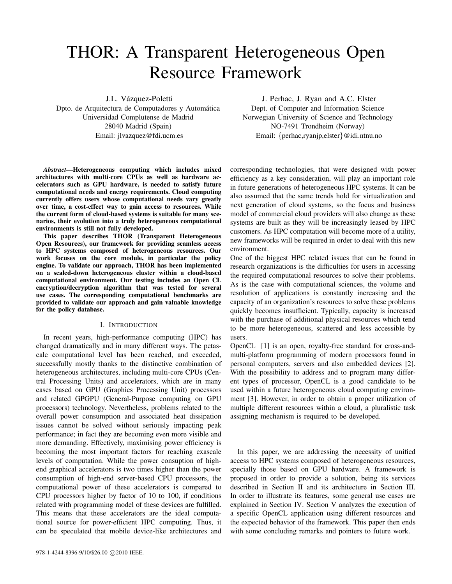# THOR: A Transparent Heterogeneous Open Resource Framework

J.L. Vazquez-Poletti ´

Dpto. de Arquitectura de Computadores y Automática Universidad Complutense de Madrid 28040 Madrid (Spain) Email: jlvazquez@fdi.ucm.es

*Abstract*—Heterogeneous computing which includes mixed architectures with multi-core CPUs as well as hardware accelerators such as GPU hardware, is needed to satisfy future computational needs and energy requirements. Cloud computing currently offers users whose computational needs vary greatly over time, a cost-effect way to gain access to resources. While the current form of cloud-based systems is suitable for many scenarios, their evolution into a truly heterogeneous computational environments is still not fully developed.

This paper describes THOR (Transparent Heterogeneous Open Resources), our framework for providing seamless access to HPC systems composed of heterogeneous resources. Our work focuses on the core module, in particular the policy engine. To validate our approach, THOR has been implemented on a scaled-down heterogeneous cluster within a cloud-based computational environment. Our testing includes an Open CL encryption/decryption algorithm that was tested for several use cases. The corresponding computational benchmarks are provided to validate our approach and gain valuable knowledge for the policy database.

## I. INTRODUCTION

In recent years, high-performance computing (HPC) has changed dramatically and in many different ways. The petascale computational level has been reached, and exceeded, successfully mostly thanks to the distinctive combination of heterogeneous architectures, including multi-core CPUs (Central Processing Units) and accelerators, which are in many cases based on GPU (Graphics Processing Unit) processors and related GPGPU (General-Purpose computing on GPU processors) technology. Nevertheless, problems related to the overall power consumption and associated heat dissipation issues cannot be solved without seriously impacting peak performance; in fact they are becoming even more visible and more demanding. Effectively, maximising power efficiency is becoming the most important factors for reaching exascale levels of computation. While the power consuption of highend graphical accelerators is two times higher than the power consumption of high-end server-based CPU processors, the computational power of these accelerators is compared to CPU processors higher by factor of 10 to 100, if conditions related with programming model of these devices are fulfilled. This means that these accelerators are the ideal computational source for power-efficient HPC computing. Thus, it can be speculated that mobile device-like architectures and

J. Perhac, J. Ryan and A.C. Elster Dept. of Computer and Information Science

Norwegian University of Science and Technology NO-7491 Trondheim (Norway) Email: {perhac,ryanjp,elster}@idi.ntnu.no

corresponding technologies, that were designed with power efficiency as a key consideration, will play an important role in future generations of heterogeneous HPC systems. It can be also assumed that the same trends hold for virtualization and next generation of cloud systems, so the focus and business model of commercial cloud providers will also change as these systems are built as they will be increasingly leased by HPC customers. As HPC computation will become more of a utility, new frameworks will be required in order to deal with this new environment.

One of the biggest HPC related issues that can be found in research organizations is the difficulties for users in accessing the required computational resources to solve their problems. As is the case with computational sciences, the volume and resolution of applications is constantly increasing and the capacity of an organization's resources to solve these problems quickly becomes insufficient. Typically, capacity is increased with the purchase of additional physical resources which tend to be more heterogeneous, scattered and less accessible by users.

OpenCL [1] is an open, royalty-free standard for cross-andmulti-platform programming of modern processors found in personal computers, servers and also embedded devices [2]. With the possibility to address and to program many different types of processor, OpenCL is a good candidate to be used within a future heterogeneous cloud computing environment [3]. However, in order to obtain a proper utilization of multiple different resources within a cloud, a pluralistic task assigning mechanism is required to be developed.

In this paper, we are addressing the necessity of unified access to HPC systems composed of heterogeneous resources, specially those based on GPU hardware. A framework is proposed in order to provide a solution, being its services described in Section II and its architecture in Section III. In order to illustrate its features, some general use cases are explained in Section IV. Section V analyzes the execution of a specific OpenCL application using different resources and the expected behavior of the framework. This paper then ends with some concluding remarks and pointers to future work.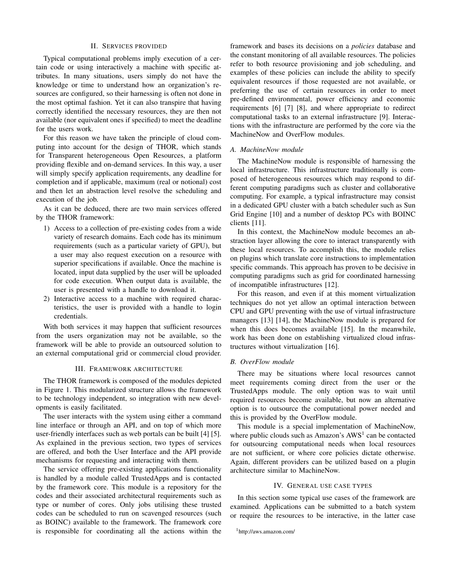#### II. SERVICES PROVIDED

Typical computational problems imply execution of a certain code or using interactively a machine with specific attributes. In many situations, users simply do not have the knowledge or time to understand how an organization's resources are configured, so their harnessing is often not done in the most optimal fashion. Yet it can also transpire that having correctly identified the necessary resources, they are then not available (nor equivalent ones if specified) to meet the deadline for the users work.

For this reason we have taken the principle of cloud computing into account for the design of THOR, which stands for Transparent heterogeneous Open Resources, a platform providing flexible and on-demand services. In this way, a user will simply specify application requirements, any deadline for completion and if applicable, maximum (real or notional) cost and then let an abstraction level resolve the scheduling and execution of the job.

As it can be deduced, there are two main services offered by the THOR framework:

- 1) Access to a collection of pre-existing codes from a wide variety of research domains. Each code has its minimum requirements (such as a particular variety of GPU), but a user may also request execution on a resource with superior specifications if available. Once the machine is located, input data supplied by the user will be uploaded for code execution. When output data is available, the user is presented with a handle to download it.
- 2) Interactive access to a machine with required characteristics, the user is provided with a handle to login credentials.

With both services it may happen that sufficient resources from the users organization may not be available, so the framework will be able to provide an outsourced solution to an external computational grid or commercial cloud provider.

## III. FRAMEWORK ARCHITECTURE

The THOR framework is composed of the modules depicted in Figure 1. This modularized structure allows the framework to be technology independent, so integration with new developments is easily facilitated.

The user interacts with the system using either a command line interface or through an API, and on top of which more user-friendly interfaces such as web portals can be built [4] [5]. As explained in the previous section, two types of services are offered, and both the User Interface and the API provide mechanisms for requesting and interacting with them.

The service offering pre-existing applications functionality is handled by a module called TrustedApps and is contacted by the framework core. This module is a repository for the codes and their associated architectural requirements such as type or number of cores. Only jobs utilising these trusted codes can be scheduled to run on scavenged resources (such as BOINC) available to the framework. The framework core is responsible for coordinating all the actions within the

framework and bases its decisions on a *policies* database and the constant monitoring of all available resources. The policies refer to both resource provisioning and job scheduling, and examples of these policies can include the ability to specify equivalent resources if those requested are not available, or preferring the use of certain resources in order to meet pre-defined environmental, power efficiency and economic requirements [6] [7] [8], and where appropriate to redirect computational tasks to an external infrastructure [9]. Interactions with the infrastructure are performed by the core via the MachineNow and OverFlow modules.

## *A. MachineNow module*

The MachineNow module is responsible of harnessing the local infrastructure. This infrastructure traditionally is composed of heterogeneous resources which may respond to different computing paradigms such as cluster and collaborative computing. For example, a typical infrastructure may consist in a dedicated GPU cluster with a batch scheduler such as Sun Grid Engine [10] and a number of desktop PCs with BOINC clients [11].

In this context, the MachineNow module becomes an abstraction layer allowing the core to interact transparently with these local resources. To accomplish this, the module relies on plugins which translate core instructions to implementation specific commands. This approach has proven to be decisive in computing paradigms such as grid for coordinated harnessing of incompatible infrastructures [12].

For this reason, and even if at this moment virtualization techniques do not yet allow an optimal interaction between CPU and GPU preventing with the use of virtual infrastructure managers [13] [14], the MachineNow module is prepared for when this does becomes available [15]. In the meanwhile, work has been done on establishing virtualized cloud infrastructures without virtualization [16].

## *B. OverFlow module*

There may be situations where local resources cannot meet requirements coming direct from the user or the TrustedApps module. The only option was to wait until required resources become available, but now an alternative option is to outsource the computational power needed and this is provided by the OverFlow module.

This module is a special implementation of MachineNow, where public clouds such as Amazon's AWS<sup>1</sup> can be contacted for outsourcing computational needs when local resources are not sufficient, or where core policies dictate otherwise. Again, different providers can be utilized based on a plugin architecture similar to MachineNow.

### IV. GENERAL USE CASE TYPES

In this section some typical use cases of the framework are examined. Applications can be submitted to a batch system or require the resources to be interactive, in the latter case

<sup>1</sup>http://aws.amazon.com/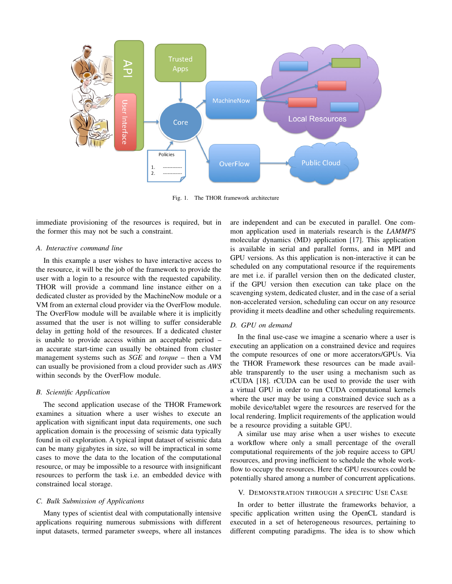

Fig. 1. The THOR framework architecture

immediate provisioning of the resources is required, but in the former this may not be such a constraint.

#### *A. Interactive command line*

In this example a user wishes to have interactive access to the resource, it will be the job of the framework to provide the user with a login to a resource with the requested capability. THOR will provide a command line instance either on a dedicated cluster as provided by the MachineNow module or a VM from an external cloud provider via the OverFlow module. The OverFlow module will be available where it is implicitly assumed that the user is not willing to suffer considerable delay in getting hold of the resources. If a dedicated cluster is unable to provide access within an acceptable period – an accurate start-time can usually be obtained from cluster management systems such as *SGE* and *torque* – then a VM can usually be provisioned from a cloud provider such as *AWS* within seconds by the OverFlow module.

## *B. Scientific Application*

The second application usecase of the THOR Framework examines a situation where a user wishes to execute an application with significant input data requirements, one such application domain is the processing of seismic data typically found in oil exploration. A typical input dataset of seismic data can be many gigabytes in size, so will be impractical in some cases to move the data to the location of the computational resource, or may be impossible to a resource with insignificant resources to perform the task i.e. an embedded device with constrained local storage.

#### *C. Bulk Submission of Applications*

Many types of scientist deal with computationally intensive applications requiring numerous submissions with different input datasets, termed parameter sweeps, where all instances are independent and can be executed in parallel. One common application used in materials research is the *LAMMPS* molecular dynamics (MD) application [17]. This application is available in serial and parallel forms, and in MPI and GPU versions. As this application is non-interactive it can be scheduled on any computational resource if the requirements are met i.e. if parallel version then on the dedicated cluster, if the GPU version then execution can take place on the scavenging system, dedicated cluster, and in the case of a serial non-accelerated version, scheduling can occur on any resource providing it meets deadline and other scheduling requirements.

## *D. GPU on demand*

In the final use-case we imagine a scenario where a user is executing an application on a constrained device and requires the compute resources of one or more accerators/GPUs. Via the THOR Framework these resources can be made available transparently to the user using a mechanism such as rCUDA [18]. rCUDA can be used to provide the user with a virtual GPU in order to run CUDA computational kernels where the user may be using a constrained device such as a mobile device/tablet wgere the resources are reserved for the local rendering. Implicit requirements of the application would be a resource providing a suitable GPU.

A similar use may arise when a user wishes to execute a workflow where only a small percentage of the overall computational requirements of the job require access to GPU resources, and proving inefficient to schedule the whole workflow to occupy the resources. Here the GPU resources could be potentially shared among a number of concurrent applications.

## V. DEMONSTRATION THROUGH A SPECIFIC USE CASE

In order to better illustrate the frameworks behavior, a specific application written using the OpenCL standard is executed in a set of heterogeneous resources, pertaining to different computing paradigms. The idea is to show which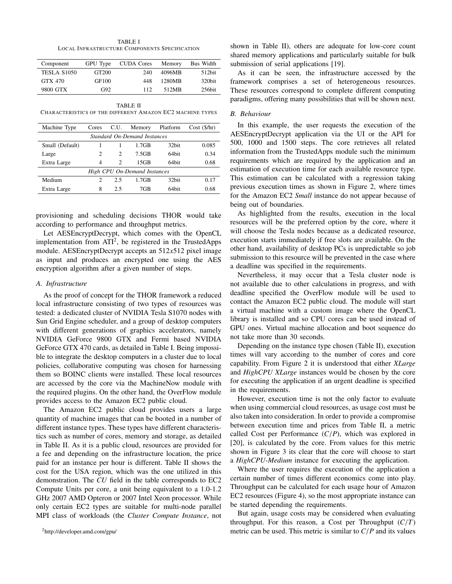TABLE I LOCAL INFRASTRUCTURE COMPONENTS SPECIFICATION

| Component   | <b>GPU</b> Type   | <b>CUDA</b> Cores | Memory | Bus Width |
|-------------|-------------------|-------------------|--------|-----------|
| TESLA S1050 | GT <sub>200</sub> | 240               | 4096MB | 512bit    |
| GTX 470     | GF100             | 448               | 1280MB | 320 bit   |
| 9800 GTX    | G92               | 112               | 512MB  | 256bit    |

TABLE II CHARACTERISTICS OF THE DIFFERENT AMAZON EC2 MACHINE TYPES

| Machine Type                 | Cores | C.U.                        | Memory            | Platform | Cost(S/hr) |  |  |  |
|------------------------------|-------|-----------------------------|-------------------|----------|------------|--|--|--|
| Standard On-Demand Instances |       |                             |                   |          |            |  |  |  |
| Small (Default)              |       |                             | $1.7$ GB          | 32bit    | 0.085      |  |  |  |
| Large                        | 2     | $\mathcal{D}_{\mathcal{L}}$ | 7.5GB             | 64bit    | 0.34       |  |  |  |
| Extra Large                  | 4     | $\mathcal{D}_{\mathcal{L}}$ | 15GB              | 64bit    | 0.68       |  |  |  |
| High CPU On-Demand Instances |       |                             |                   |          |            |  |  |  |
| Medium                       | 2     | 2.5                         | 1.7 <sub>GB</sub> | 32bit    | 0.17       |  |  |  |
| Extra Large                  | 8     | 2.5                         | 7GB               | 64bit    | 0.68       |  |  |  |

provisioning and scheduling decisions THOR would take according to performance and throughput metrics.

Let AESEncryptDecrypt, which comes with the OpenCL implementation from  $ATI<sup>2</sup>$ , be registered in the TrustedApps module. AESEncryptDecrypt accepts an 512*x*512 pixel image as input and produces an encrypted one using the AES encryption algorithm after a given number of steps.

### *A. Infrastructure*

As the proof of concept for the THOR framework a reduced local infrastructure consisting of two types of resources was tested: a dedicated cluster of NVIDIA Tesla S1070 nodes with Sun Grid Engine scheduler, and a group of desktop computers with different generations of graphics accelerators, namely NVIDIA GeForce 9800 GTX and Fermi based NVIDIA GeForce GTX 470 cards, as detailed in Table I. Being impossible to integrate the desktop computers in a cluster due to local policies, collaborative computing was chosen for harnessing them so BOINC clients were installed. These local resources are accessed by the core via the MachineNow module with the required plugins. On the other hand, the OverFlow module provides access to the Amazon EC2 public cloud.

The Amazon EC2 public cloud provides users a large quantity of machine images that can be booted in a number of different instance types. These types have different characteristics such as number of cores, memory and storage, as detailed in Table II. As it is a public cloud, resources are provided for a fee and depending on the infrastructure location, the price paid for an instance per hour is different. Table II shows the cost for the USA region, which was the one utilized in this demonstration. The *CU* field in the table corresponds to EC2 Compute Units per core, a unit being equivalent to a 1.0-1.2 GHz 2007 AMD Opteron or 2007 Intel Xeon processor. While only certain EC2 types are suitable for multi-node parallel MPI class of workloads (the *Cluster Compute Instance*, not

shown in Table II), others are adequate for low-core count shared memory applications and particularly suitable for bulk submission of serial applications [19].

As it can be seen, the infrastructure accessed by the framework comprises a set of heterogeneous resources. These resources correspond to complete different computing paradigms, offering many possibilities that will be shown next.

## *B. Behaviour*

In this example, the user requests the execution of the AESEncryptDecrypt application via the UI or the API for 500, 1000 and 1500 steps. The core retrieves all related information from the TrustedApps module such the minimum requirements which are required by the application and an estimation of execution time for each available resource type. This estimation can be calculated with a regression taking previous execution times as shown in Figure 2, where times for the Amazon EC2 *Small* instance do not appear because of being out of boundaries.

As highlighted from the results, execution in the local resources will be the preferred option by the core, where it will choose the Tesla nodes because as a dedicated resource, execution starts immediately if free slots are available. On the other hand, availability of desktop PCs is unpredictable so job submission to this resource will be prevented in the case where a deadline was specified in the requirements.

Nevertheless, it may occur that a Tesla cluster node is not available due to other calculations in progress, and with deadline specified the OverFlow module will be used to contact the Amazon EC2 public cloud. The module will start a virtual machine with a custom image where the OpenCL library is installed and so CPU cores can be used instead of GPU ones. Virtual machine allocation and boot sequence do not take more than 30 seconds.

Depending on the instance type chosen (Table II), execution times will vary according to the number of cores and core capability. From Figure 2 it is understood that either *XLarge* and *HighCPU XLarge* instances would be chosen by the core for executing the application if an urgent deadline is specified in the requirements.

However, execution time is not the only factor to evaluate when using commercial cloud resources, as usage cost must be also taken into consideration. In order to provide a compromise between execution time and prices from Table II, a metric called Cost per Performance (*C*/*P*), which was explored in [20], is calculated by the core. From values for this metric shown in Figure 3 its clear that the core will choose to start a *HighCPU-Medium* instance for executing the application.

Where the user requires the execution of the application a certain number of times different economics come into play. Throughput can be calculated for each usage hour of Amazon EC2 resources (Figure 4), so the most appropriate instance can be started depending the requirements.

But again, usage costs may be considered when evaluating throughput. For this reason, a Cost per Throughput (*C*/*T*) metric can be used. This metric is similar to *<sup>C</sup>*/*<sup>P</sup>* and its values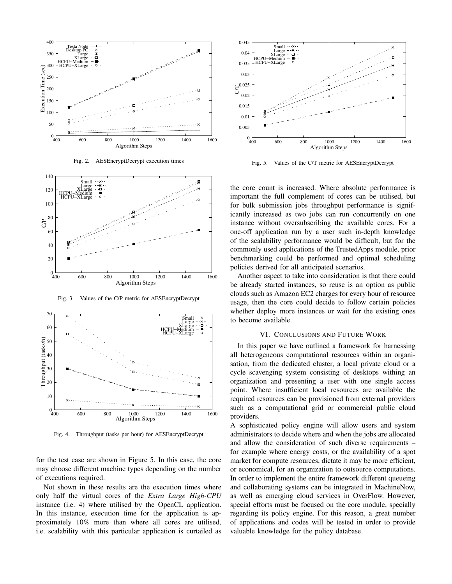

Fig. 2. AESEncryptDecrypt execution times



Fig. 3. Values of the C/P metric for AESEncryptDecrypt



Fig. 4. Throughput (tasks per hour) for AESEncryptDecrypt

for the test case are shown in Figure 5. In this case, the core may choose different machine types depending on the number of executions required.

Not shown in these results are the execution times where only half the virtual cores of the *Extra Large High-CPU* instance (i.e. 4) where utilised by the OpenCL application. In this instance, execution time for the application is approximately 10% more than where all cores are utilised, i.e. scalability with this particular application is curtailed as



Fig. 5. Values of the C/T metric for AESEncryptDecrypt

the core count is increased. Where absolute performance is important the full complement of cores can be utilised, but for bulk submission jobs throughput performance is significantly increased as two jobs can run concurrently on one instance without oversubscribing the available cores. For a one-off application run by a user such in-depth knowledge of the scalability performance would be difficult, but for the commonly used applications of the TrustedApps module, prior benchmarking could be performed and optimal scheduling policies derived for all anticipated scenarios.

Another aspect to take into consideration is that there could be already started instances, so reuse is an option as public clouds such as Amazon EC2 charges for every hour of resource usage, then the core could decide to follow certain policies whether deploy more instances or wait for the existing ones to become available.

### VI. CONCLUSIONS AND FUTURE WORK

In this paper we have outlined a framework for harnessing all heterogeneous computational resources within an organisation, from the dedicated cluster, a local private cloud or a cycle scavenging system consisting of desktops withing an organization and presenting a user with one single access point. Where insufficient local resources are available the required resources can be provisioned from external providers such as a computational grid or commercial public cloud providers.

A sophisticated policy engine will allow users and system administrators to decide where and when the jobs are allocated and allow the consideration of such diverse requirements – for example where energy costs, or the availability of a spot market for compute resources, dictate it may be more efficient, or economical, for an organization to outsource computations. In order to implement the entire framework different queueing and collaborating systems can be integrated in MachineNow, as well as emerging cloud services in OverFlow. However, special efforts must be focused on the core module, specially regarding its policy engine. For this reason, a great number of applications and codes will be tested in order to provide valuable knowledge for the policy database.